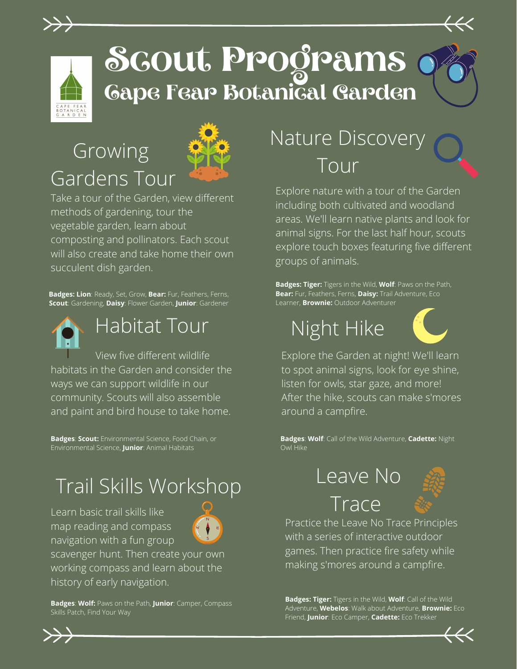

# **Scout Programs Cape Fear Botanical Garden**

#### Growing Gardens Tour



Take a tour of the Garden, view different methods of gardening, tour the vegetable garden, learn about composting and pollinators. Each scout will also create and take home their own succulent dish garden.

**Badges: Lion**: Ready, Set, Grow, **Bear:** Fur, Feathers, Ferns, **Scout**: Gardening, **Daisy**: Flower Garden, **Junior**: Gardener



#### Habitat Tour

 View five different wildlife habitats in the Garden and consider the ways we can support wildlife in our community. Scouts will also assemble and paint and bird house to take home.

**Badges**: **Scout:** Environmental Science, Food Chain, or Environmental Science, **Junior**: Animal Habitats

### Trail Skills Workshop

Learn basic trail skills like map reading and compass navigation with a fun group



scavenger hunt. Then create your own working compass and learn about the history of early navigation.

**Badges**: **Wolf:** Paws on the Path, **Junior**: Camper, Compass Skills Patch, Find Your Way

#### Nature Discovery Tour

Explore nature with a tour of the Garden including both cultivated and woodland areas. We'll learn native plants and look for animal signs. For the last half hour, scouts explore touch boxes featuring five different groups of animals.

**Badges: Tiger:** Tigers in the Wild, **Wolf**: Paws on the Path, **Bear:** Fur, Feathers, Ferns, **Daisy:** Trail Adventure, Eco Learner, **Brownie:** Outdoor Adventurer

## Night Hike



Explore the Garden at night! We'll learn to spot animal signs, look for eye shine, listen for owls, star gaze, and more! After the hike, scouts can make s'mores around a campfire.

**Badges**: **Wolf**: Call of the Wild Adventure, **Cadette:** Night Owl Hike

#### Leave No **Trace**



Practice the Leave No Trace Principles with a series of interactive outdoor games. Then practice fire safety while making s'mores around a campfire.

**Badges: Tiger:** Tigers in the Wild, **Wolf**: Call of the Wild Adventure, **Webelos**: Walk about Adventure, **Brownie:** Eco Friend, **Junior**: Eco Camper, **Cadette:** Eco Trekker